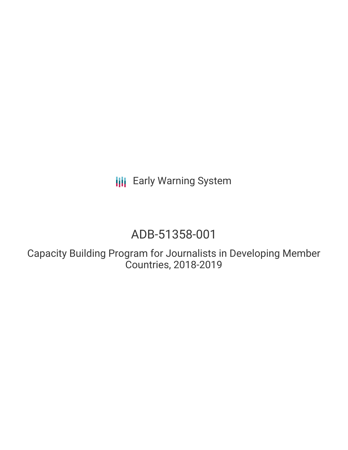**III** Early Warning System

# ADB-51358-001

Capacity Building Program for Journalists in Developing Member Countries, 2018-2019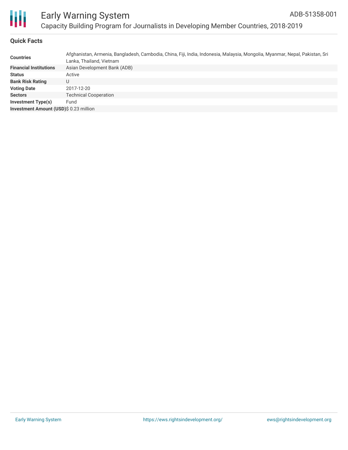

# **Quick Facts**

| <b>Countries</b>                       | Afghanistan, Armenia, Bangladesh, Cambodia, China, Fiji, India, Indonesia, Malaysia, Mongolia, Myanmar, Nepal, Pakistan, Sri<br>Lanka, Thailand, Vietnam |
|----------------------------------------|----------------------------------------------------------------------------------------------------------------------------------------------------------|
| <b>Financial Institutions</b>          | Asian Development Bank (ADB)                                                                                                                             |
| <b>Status</b>                          | Active                                                                                                                                                   |
| <b>Bank Risk Rating</b>                | U                                                                                                                                                        |
| <b>Voting Date</b>                     | 2017-12-20                                                                                                                                               |
| <b>Sectors</b>                         | <b>Technical Cooperation</b>                                                                                                                             |
| Investment Type(s)                     | Fund                                                                                                                                                     |
| Investment Amount (USD)\$ 0.23 million |                                                                                                                                                          |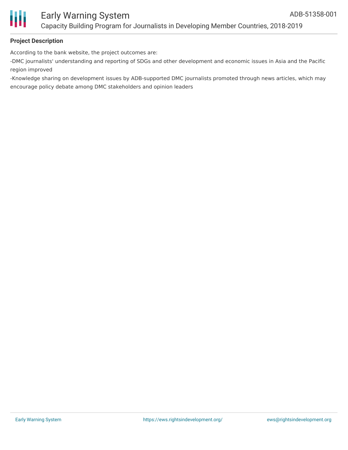

## **Project Description**

According to the bank website, the project outcomes are:

-DMC journalists' understanding and reporting of SDGs and other development and economic issues in Asia and the Pacific region improved

-Knowledge sharing on development issues by ADB-supported DMC journalists promoted through news articles, which may encourage policy debate among DMC stakeholders and opinion leaders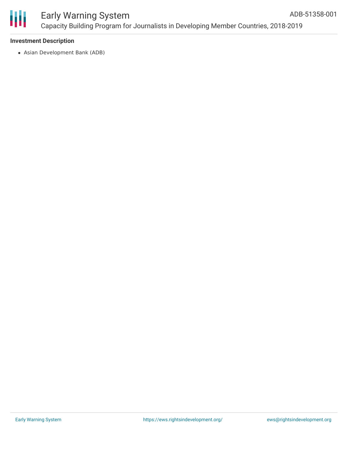

#### **Investment Description**

Asian Development Bank (ADB)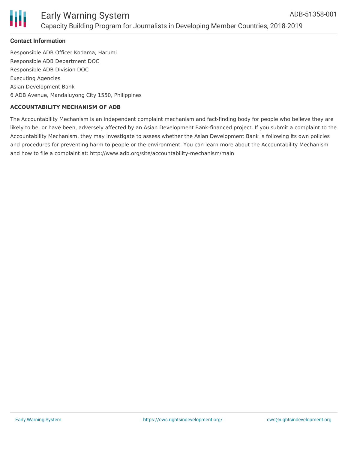

## **Contact Information**

Responsible ADB Officer Kodama, Harumi Responsible ADB Department DOC Responsible ADB Division DOC Executing Agencies Asian Development Bank 6 ADB Avenue, Mandaluyong City 1550, Philippines

#### **ACCOUNTABILITY MECHANISM OF ADB**

The Accountability Mechanism is an independent complaint mechanism and fact-finding body for people who believe they are likely to be, or have been, adversely affected by an Asian Development Bank-financed project. If you submit a complaint to the Accountability Mechanism, they may investigate to assess whether the Asian Development Bank is following its own policies and procedures for preventing harm to people or the environment. You can learn more about the Accountability Mechanism and how to file a complaint at: http://www.adb.org/site/accountability-mechanism/main